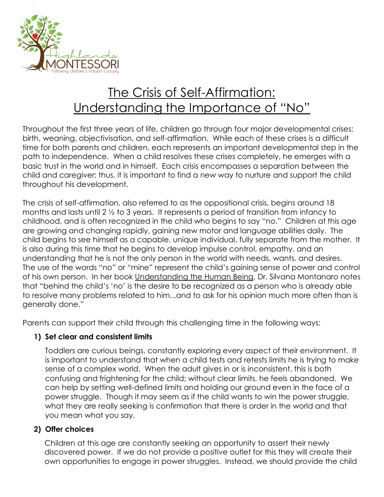

# The Crisis of Self-Affirmation: Understanding the Importance of "No"

Throughout the first three years of life, children go through four major developmental crises: birth, weaning, objectivisation, and self-affirmation. While each of these crises is a difficult time for both parents and children, each represents an important developmental step in the path to independence. When a child resolves these crises completely, he emerges with a basic trust in the world and in himself. Each crisis encompasses a separation between the child and caregiver; thus, it is important to find a new way to nurture and support the child throughout his development.

The crisis of self-affirmation, also referred to as the oppositional crisis, begins around 18 months and lasts until 2 ½ to 3 years. It represents a period of transition from infancy to childhood, and is often recognized in the child who begins to say "no." Children at this age are growing and changing rapidly, gaining new motor and language abilities daily. The child begins to see himself as a capable, unique individual, fully separate from the mother. It is also during this time that he begins to develop impulse control, empathy, and an understanding that he is not the only person in the world with needs, wants, and desires. The use of the words "no" or "mine" represent the child's gaining sense of power and control of his own person. In her book Understanding the Human Being, Dr. Silvana Montanaro notes that "behind the child's 'no' is the desire to be recognized as a person who is already able to resolve many problems related to him...and to ask for his opinion much more often than is generally done."

Parents can support their child through this challenging time in the following ways:

## **1) Set clear and consistent limits**

Toddlers are curious beings, constantly exploring every aspect of their environment. It is important to understand that when a child tests and retests limits he is trying to make sense of a complex world. When the adult gives in or is inconsistent, this is both confusing and frightening for the child; without clear limits, he feels abandoned. We can help by setting well-defined limits and holding our ground even in the face of a power struggle. Though it may seem as if the child wants to win the power struggle, what they are really seeking is confirmation that there is order in the world and that you mean what you say.

## **2) Offer choices**

Children at this age are constantly seeking an opportunity to assert their newly discovered power. If we do not provide a positive outlet for this they will create their own opportunities to engage in power struggles. Instead, we should provide the child